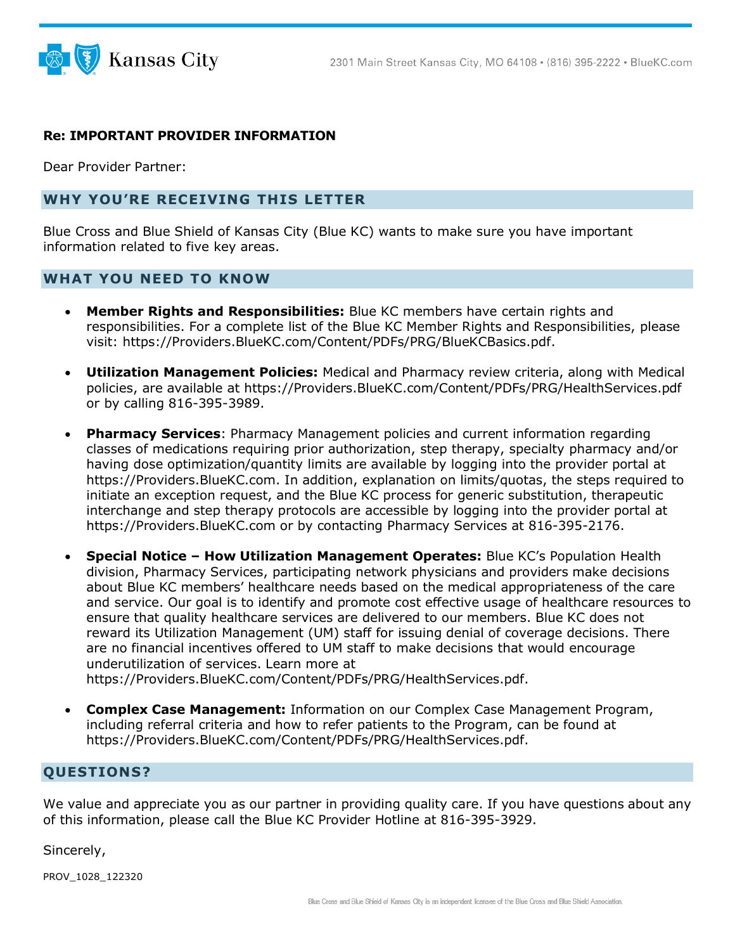

## **Re: IMPORTANT PROVIDER INFORMATION**

Dear Provider Partner:

## **WHY YOU'RE RECEIVING THIS LETTER**

Blue Cross and Blue Shield of Kansas City (Blue KC) wants to make sure you have important information related to five key areas.

## **WHAT YOU NEED TO KNOW**

- **Member Rights and Responsibilities:** Blue KC members have certain rights and responsibilities. For a complete list of the Blue KC Member Rights and Responsibilities, please visit: [https://Providers.BlueKC.com/Content/PDFs/PRG/BlueKCBasics.pdf.](https://providers.bluekc.com/Content/PDFs/PRG/BlueKCBasics.pdf)
- **Utilization Management Policies:** Medical and Pharmacy review criteria, along with Medical policies, are available at [https://Providers.BlueKC.com/Content/PDFs/PRG/HealthServices.pdf](https://providers.bluekc.com/Content/PDFs/PRG/HealthServices.pdf)  or by calling 816-395-3989.
- **Pharmacy Services**: Pharmacy Management policies and current information regarding classes of medications requiring prior authorization, step therapy, specialty pharmacy and/or having dose optimization/quantity limits are available by logging into the provider portal at [https://Providers.BlueKC.com.](https://providers.bluekc.com/) In addition, explanation on limits/quotas, the steps required to initiate an exception request, and the Blue KC process for generic substitution, therapeutic interchange and step therapy protocols are accessible by logging into the provider portal at [https://Providers.BlueKC.com](https://providers.bluekc.com/) or by contacting Pharmacy Services at 816-395-2176.
- **Special Notice – How Utilization Management Operates:** Blue KC's Population Health division, Pharmacy Services, participating network physicians and providers make decisions about Blue KC members' healthcare needs based on the medical appropriateness of the care and service. Our goal is to identify and promote cost effective usage of healthcare resources to ensure that quality healthcare services are delivered to our members. Blue KC does not reward its Utilization Management (UM) staff for issuing denial of coverage decisions. There are no financial incentives offered to UM staff to make decisions that would encourage underutilization of services. Learn more at

[https://Providers.BlueKC.com/Content/PDFs/PRG/HealthServices.pdf.](https://providers.bluekc.com/Content/PDFs/PRG/HealthServices.pdf)

• **Complex Case Management:** Information on our Complex Case Management Program, including referral criteria and how to refer patients to the Program, can be found at [https://Providers.BlueKC.com/Content/PDFs/PRG/HealthServices.pdf.](https://providers.bluekc.com/Content/PDFs/PRG/HealthServices.pdf)

## **QUESTIONS?**

We value and appreciate you as our partner in providing quality care. If you have questions about any of this information, please call the Blue KC Provider Hotline at 816-395-3929.

Sincerely,

PROV\_1028\_122320